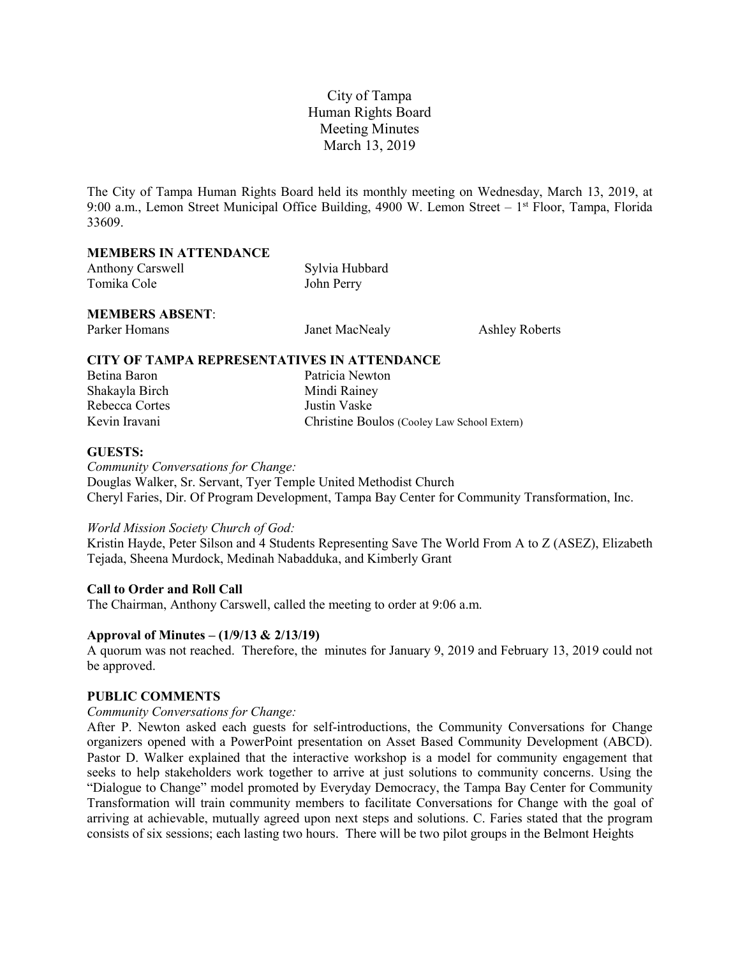# City of Tampa Human Rights Board Meeting Minutes March 13, 2019

The City of Tampa Human Rights Board held its monthly meeting on Wednesday, March 13, 2019, at 9:00 a.m., Lemon Street Municipal Office Building, 4900 W. Lemon Street – 1<sup>st</sup> Floor, Tampa, Florida 33609.

#### **MEMBERS IN ATTENDANCE**

| <b>Anthony Carswell</b> | Sylvia Hubbard |
|-------------------------|----------------|
| Tomika Cole             | John Perry     |

## **MEMBERS ABSENT**:

| Parker Homans | Janet MacNealy | <b>Ashley Roberts</b> |
|---------------|----------------|-----------------------|
|---------------|----------------|-----------------------|

## **CITY OF TAMPA REPRESENTATIVES IN ATTENDANCE**

| Betina Baron   | Patricia Newton                             |
|----------------|---------------------------------------------|
| Shakayla Birch | Mindi Rainey                                |
| Rebecca Cortes | Justin Vaske                                |
| Kevin Iravani  | Christine Boulos (Cooley Law School Extern) |

#### **GUESTS:**

*Community Conversations for Change:* Douglas Walker, Sr. Servant, Tyer Temple United Methodist Church Cheryl Faries, Dir. Of Program Development, Tampa Bay Center for Community Transformation, Inc.

#### *World Mission Society Church of God:*

Kristin Hayde, Peter Silson and 4 Students Representing Save The World From A to Z (ASEZ), Elizabeth Tejada, Sheena Murdock, Medinah Nabadduka, and Kimberly Grant

## **Call to Order and Roll Call**

The Chairman, Anthony Carswell, called the meeting to order at 9:06 a.m.

#### **Approval of Minutes – (1/9/13 & 2/13/19)**

A quorum was not reached. Therefore, the minutes for January 9, 2019 and February 13, 2019 could not be approved.

#### **PUBLIC COMMENTS**

#### *Community Conversations for Change:*

After P. Newton asked each guests for self-introductions, the Community Conversations for Change organizers opened with a PowerPoint presentation on Asset Based Community Development (ABCD). Pastor D. Walker explained that the interactive workshop is a model for community engagement that seeks to help stakeholders work together to arrive at just solutions to community concerns. Using the "Dialogue to Change" model promoted by Everyday Democracy, the Tampa Bay Center for Community Transformation will train community members to facilitate Conversations for Change with the goal of arriving at achievable, mutually agreed upon next steps and solutions. C. Faries stated that the program consists of six sessions; each lasting two hours. There will be two pilot groups in the Belmont Heights